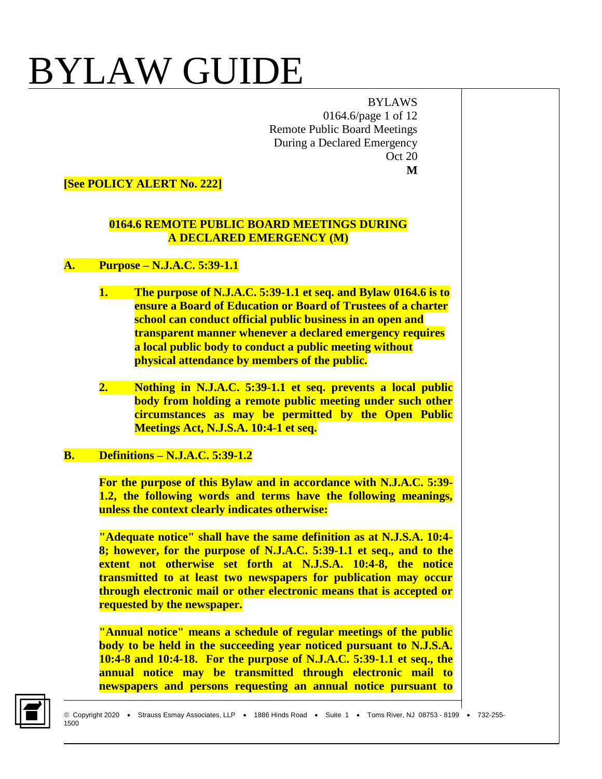BYLAWS 0164.6/page 1 of 12 Remote Public Board Meetings During a Declared Emergency Oct 20 **M**

**[See POLICY ALERT No. 222]**

#### **0164.6 REMOTE PUBLIC BOARD MEETINGS DURING A DECLARED EMERGENCY (M)**

#### **A. Purpose – N.J.A.C. 5:39-1.1**

- **1. The purpose of N.J.A.C. 5:39-1.1 et seq. and Bylaw 0164.6 is to ensure a Board of Education or Board of Trustees of a charter school can conduct official public business in an open and transparent manner whenever a declared emergency requires a local public body to conduct a public meeting without physical attendance by members of the public.**
- **2. Nothing in N.J.A.C. 5:39-1.1 et seq. prevents a local public body from holding a remote public meeting under such other circumstances as may be permitted by the Open Public Meetings Act, N.J.S.A. 10:4-1 et seq.**

### **B. Definitions – N.J.A.C. 5:39-1.2**

**For the purpose of this Bylaw and in accordance with N.J.A.C. 5:39- 1.2, the following words and terms have the following meanings, unless the context clearly indicates otherwise:**

**"Adequate notice" shall have the same definition as at N.J.S.A. 10:4- 8; however, for the purpose of N.J.A.C. 5:39-1.1 et seq., and to the extent not otherwise set forth at N.J.S.A. 10:4-8, the notice transmitted to at least two newspapers for publication may occur through electronic mail or other electronic means that is accepted or requested by the newspaper.** 

**"Annual notice" means a schedule of regular meetings of the public body to be held in the succeeding year noticed pursuant to N.J.S.A. 10:4-8 and 10:4-18. For the purpose of N.J.A.C. 5:39-1.1 et seq., the annual notice may be transmitted through electronic mail to newspapers and persons requesting an annual notice pursuant to** 

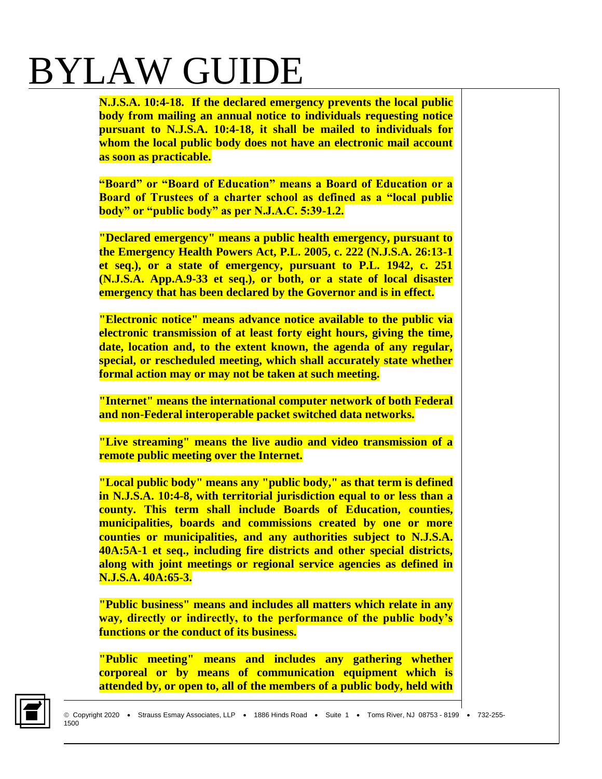**N.J.S.A. 10:4-18. If the declared emergency prevents the local public body from mailing an annual notice to individuals requesting notice pursuant to N.J.S.A. 10:4-18, it shall be mailed to individuals for whom the local public body does not have an electronic mail account as soon as practicable.** 

**"Board" or "Board of Education" means a Board of Education or a Board of Trustees of a charter school as defined as a "local public body" or "public body" as per N.J.A.C. 5:39-1.2.**

**"Declared emergency" means a public health emergency, pursuant to the Emergency Health Powers Act, P.L. 2005, c. 222 (N.J.S.A. 26:13-1 et seq.), or a state of emergency, pursuant to P.L. 1942, c. 251 (N.J.S.A. App.A.9-33 et seq.), or both, or a state of local disaster emergency that has been declared by the Governor and is in effect.** 

**"Electronic notice" means advance notice available to the public via electronic transmission of at least forty eight hours, giving the time, date, location and, to the extent known, the agenda of any regular, special, or rescheduled meeting, which shall accurately state whether formal action may or may not be taken at such meeting.**

**"Internet" means the international computer network of both Federal and non-Federal interoperable packet switched data networks.** 

**"Live streaming" means the live audio and video transmission of a remote public meeting over the Internet.** 

**"Local public body" means any "public body," as that term is defined in N.J.S.A. 10:4-8, with territorial jurisdiction equal to or less than a county. This term shall include Boards of Education, counties, municipalities, boards and commissions created by one or more counties or municipalities, and any authorities subject to N.J.S.A. 40A:5A-1 et seq., including fire districts and other special districts, along with joint meetings or regional service agencies as defined in N.J.S.A. 40A:65-3.** 

**"Public business" means and includes all matters which relate in any way, directly or indirectly, to the performance of the public body's functions or the conduct of its business.** 

**"Public meeting" means and includes any gathering whether corporeal or by means of communication equipment which is attended by, or open to, all of the members of a public body, held with** 

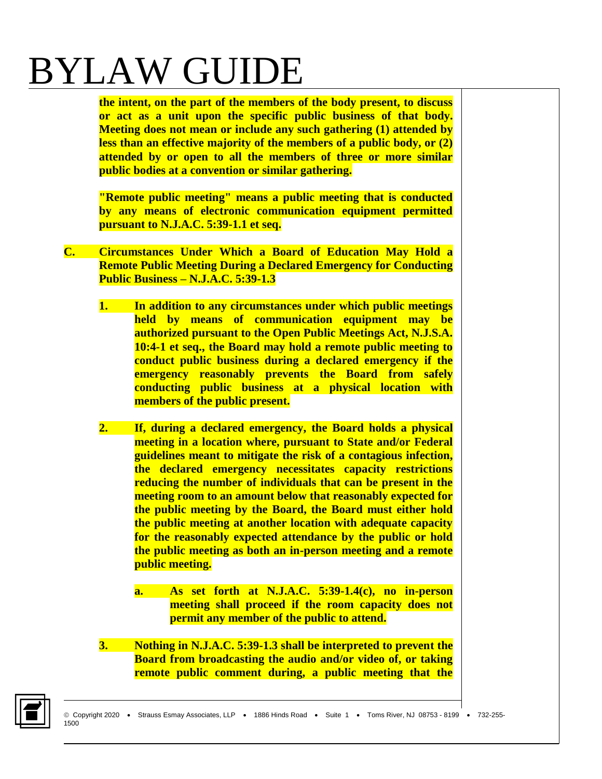**the intent, on the part of the members of the body present, to discuss or act as a unit upon the specific public business of that body. Meeting does not mean or include any such gathering (1) attended by less than an effective majority of the members of a public body, or (2) attended by or open to all the members of three or more similar public bodies at a convention or similar gathering.** 

**"Remote public meeting" means a public meeting that is conducted by any means of electronic communication equipment permitted pursuant to N.J.A.C. 5:39-1.1 et seq.** 

- **C. Circumstances Under Which a Board of Education May Hold a Remote Public Meeting During a Declared Emergency for Conducting Public Business – N.J.A.C. 5:39-1.3**
	- **1. In addition to any circumstances under which public meetings held by means of communication equipment may be authorized pursuant to the Open Public Meetings Act, N.J.S.A. 10:4-1 et seq., the Board may hold a remote public meeting to conduct public business during a declared emergency if the emergency reasonably prevents the Board from safely conducting public business at a physical location with members of the public present.**
	- **2. If, during a declared emergency, the Board holds a physical meeting in a location where, pursuant to State and/or Federal guidelines meant to mitigate the risk of a contagious infection, the declared emergency necessitates capacity restrictions reducing the number of individuals that can be present in the meeting room to an amount below that reasonably expected for the public meeting by the Board, the Board must either hold the public meeting at another location with adequate capacity for the reasonably expected attendance by the public or hold the public meeting as both an in-person meeting and a remote public meeting.** 
		- **a. As set forth at N.J.A.C. 5:39-1.4(c), no in-person meeting shall proceed if the room capacity does not permit any member of the public to attend.**
	- **3. Nothing in N.J.A.C. 5:39-1.3 shall be interpreted to prevent the Board from broadcasting the audio and/or video of, or taking remote public comment during, a public meeting that the**

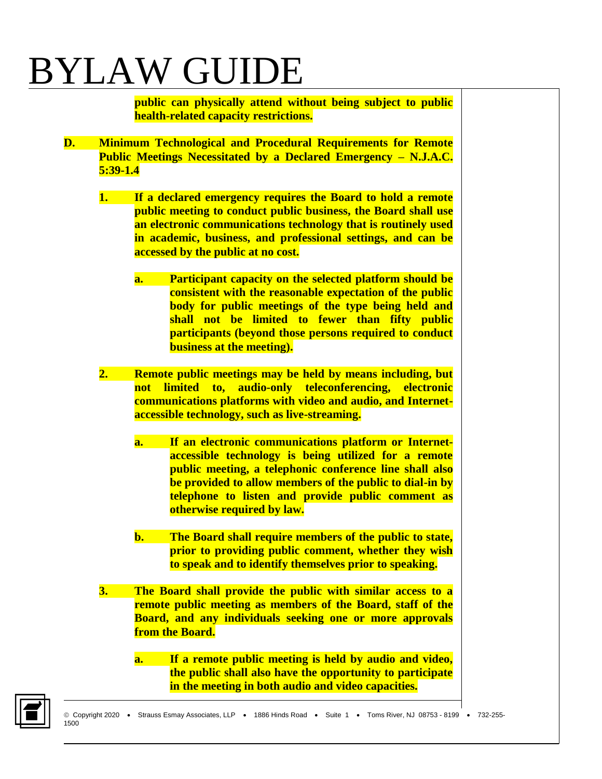**public can physically attend without being subject to public health-related capacity restrictions.**

- **D. Minimum Technological and Procedural Requirements for Remote Public Meetings Necessitated by a Declared Emergency – N.J.A.C. 5:39-1.4**
	- **1. If a declared emergency requires the Board to hold a remote public meeting to conduct public business, the Board shall use an electronic communications technology that is routinely used in academic, business, and professional settings, and can be accessed by the public at no cost.**
		- **a. Participant capacity on the selected platform should be consistent with the reasonable expectation of the public body for public meetings of the type being held and shall not be limited to fewer than fifty public participants (beyond those persons required to conduct business at the meeting).**
	- **2. Remote public meetings may be held by means including, but not limited to, audio-only teleconferencing, electronic communications platforms with video and audio, and Internetaccessible technology, such as live-streaming.**
		- **a. If an electronic communications platform or Internetaccessible technology is being utilized for a remote public meeting, a telephonic conference line shall also be provided to allow members of the public to dial-in by telephone to listen and provide public comment as otherwise required by law.**
		- **b. The Board shall require members of the public to state, prior to providing public comment, whether they wish to speak and to identify themselves prior to speaking.**
	- **3. The Board shall provide the public with similar access to a remote public meeting as members of the Board, staff of the Board, and any individuals seeking one or more approvals from the Board.**
		- **a. If a remote public meeting is held by audio and video, the public shall also have the opportunity to participate in the meeting in both audio and video capacities.**

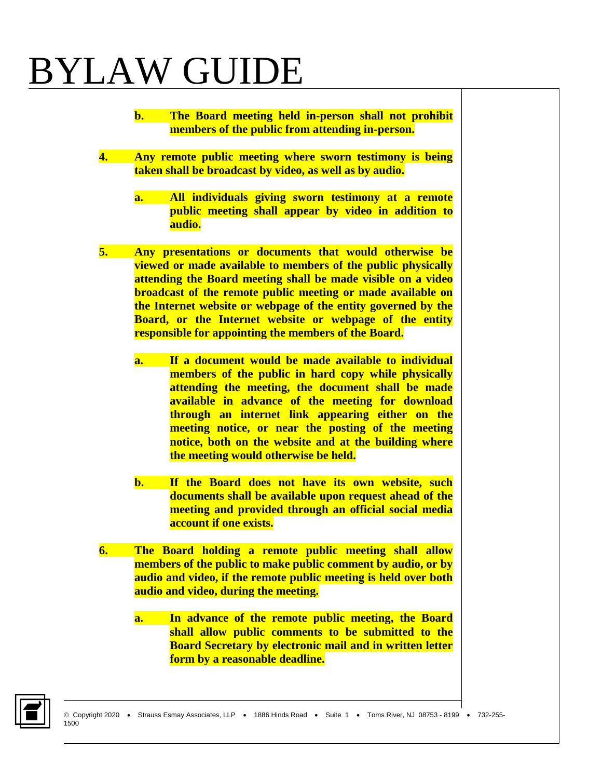- **b. The Board meeting held in-person shall not prohibit members of the public from attending in-person.**
- **4. Any remote public meeting where sworn testimony is being taken shall be broadcast by video, as well as by audio.** 
	- **a. All individuals giving sworn testimony at a remote public meeting shall appear by video in addition to audio.**
- **5. Any presentations or documents that would otherwise be viewed or made available to members of the public physically attending the Board meeting shall be made visible on a video broadcast of the remote public meeting or made available on the Internet website or webpage of the entity governed by the Board, or the Internet website or webpage of the entity responsible for appointing the members of the Board.**
	- **a. If a document would be made available to individual members of the public in hard copy while physically attending the meeting, the document shall be made available in advance of the meeting for download through an internet link appearing either on the meeting notice, or near the posting of the meeting notice, both on the website and at the building where the meeting would otherwise be held.**
	- **b. If the Board does not have its own website, such documents shall be available upon request ahead of the meeting and provided through an official social media account if one exists.**
- **6. The Board holding a remote public meeting shall allow members of the public to make public comment by audio, or by audio and video, if the remote public meeting is held over both audio and video, during the meeting.**
	- **a. In advance of the remote public meeting, the Board shall allow public comments to be submitted to the Board Secretary by electronic mail and in written letter form by a reasonable deadline.**

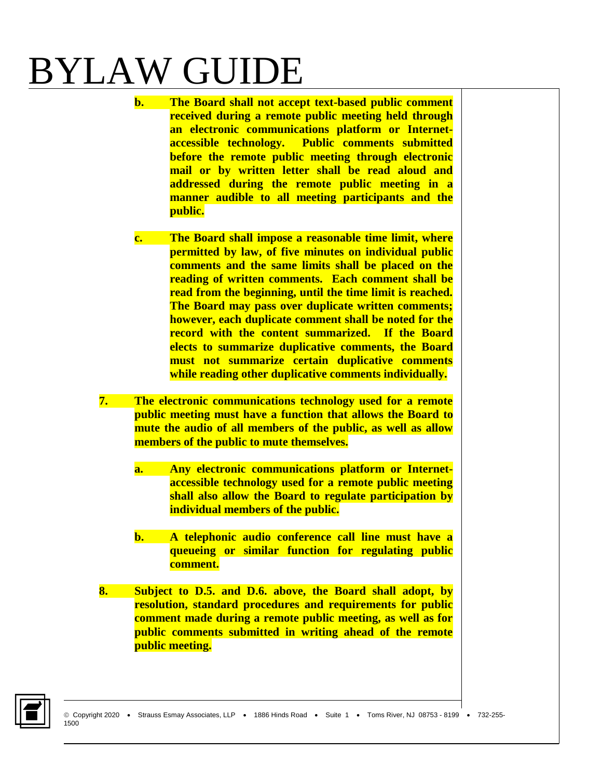- **b. The Board shall not accept text-based public comment received during a remote public meeting held through an electronic communications platform or Internetaccessible technology. Public comments submitted before the remote public meeting through electronic mail or by written letter shall be read aloud and addressed during the remote public meeting in a manner audible to all meeting participants and the public.**
- **c. The Board shall impose a reasonable time limit, where permitted by law, of five minutes on individual public comments and the same limits shall be placed on the reading of written comments. Each comment shall be read from the beginning, until the time limit is reached. The Board may pass over duplicate written comments; however, each duplicate comment shall be noted for the record with the content summarized. If the Board elects to summarize duplicative comments, the Board must not summarize certain duplicative comments while reading other duplicative comments individually.**
- **7. The electronic communications technology used for a remote public meeting must have a function that allows the Board to mute the audio of all members of the public, as well as allow members of the public to mute themselves.** 
	- **a. Any electronic communications platform or Internetaccessible technology used for a remote public meeting shall also allow the Board to regulate participation by individual members of the public.**
	- **b. A telephonic audio conference call line must have a queueing or similar function for regulating public comment.**
- **8. Subject to D.5. and D.6. above, the Board shall adopt, by resolution, standard procedures and requirements for public comment made during a remote public meeting, as well as for public comments submitted in writing ahead of the remote public meeting.**

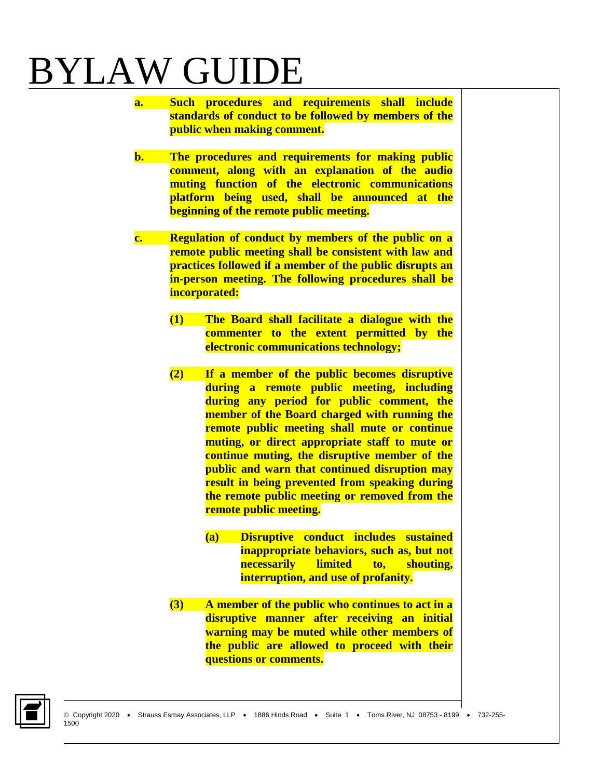- **a. Such procedures and requirements shall include standards of conduct to be followed by members of the public when making comment.**
- **b. The procedures and requirements for making public comment, along with an explanation of the audio muting function of the electronic communications platform being used, shall be announced at the beginning of the remote public meeting.**
- **c. Regulation of conduct by members of the public on a remote public meeting shall be consistent with law and practices followed if a member of the public disrupts an in-person meeting. The following procedures shall be incorporated:** 
	- **(1) The Board shall facilitate a dialogue with the commenter to the extent permitted by the electronic communications technology;**
	- **(2) If a member of the public becomes disruptive during a remote public meeting, including during any period for public comment, the member of the Board charged with running the remote public meeting shall mute or continue muting, or direct appropriate staff to mute or continue muting, the disruptive member of the public and warn that continued disruption may result in being prevented from speaking during the remote public meeting or removed from the remote public meeting.** 
		- **(a) Disruptive conduct includes sustained inappropriate behaviors, such as, but not necessarily limited to, shouting, interruption, and use of profanity.**
	- **(3) A member of the public who continues to act in a disruptive manner after receiving an initial warning may be muted while other members of the public are allowed to proceed with their questions or comments.**

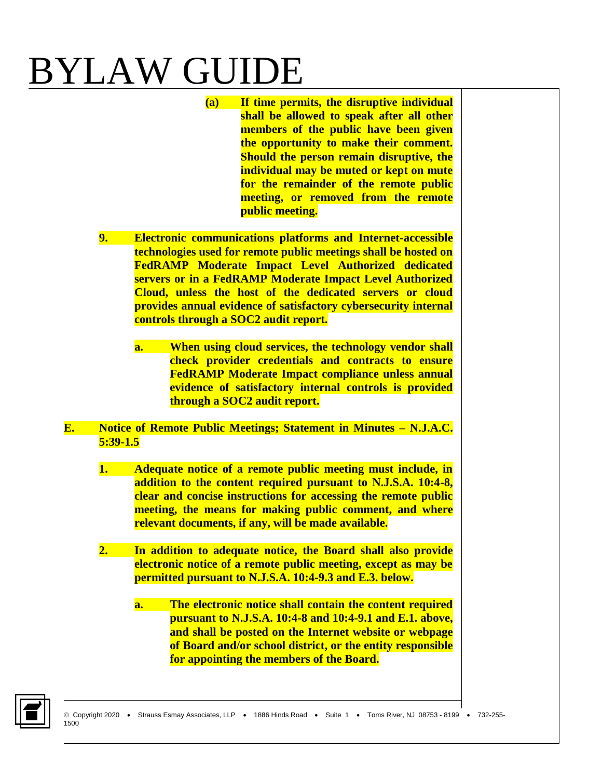- **(a) If time permits, the disruptive individual shall be allowed to speak after all other members of the public have been given the opportunity to make their comment. Should the person remain disruptive, the individual may be muted or kept on mute for the remainder of the remote public meeting, or removed from the remote public meeting.**
- **9. Electronic communications platforms and Internet-accessible technologies used for remote public meetings shall be hosted on FedRAMP Moderate Impact Level Authorized dedicated servers or in a FedRAMP Moderate Impact Level Authorized Cloud, unless the host of the dedicated servers or cloud provides annual evidence of satisfactory cybersecurity internal controls through a SOC2 audit report.** 
	- **a. When using cloud services, the technology vendor shall check provider credentials and contracts to ensure FedRAMP Moderate Impact compliance unless annual evidence of satisfactory internal controls is provided through a SOC2 audit report.**

#### **E. Notice of Remote Public Meetings; Statement in Minutes – N.J.A.C. 5:39-1.5**

- **1. Adequate notice of a remote public meeting must include, in addition to the content required pursuant to N.J.S.A. 10:4-8, clear and concise instructions for accessing the remote public meeting, the means for making public comment, and where relevant documents, if any, will be made available.**
- **2. In addition to adequate notice, the Board shall also provide electronic notice of a remote public meeting, except as may be permitted pursuant to N.J.S.A. 10:4-9.3 and E.3. below.**
	- **a. The electronic notice shall contain the content required pursuant to N.J.S.A. 10:4-8 and 10:4-9.1 and E.1. above, and shall be posted on the Internet website or webpage of Board and/or school district, or the entity responsible for appointing the members of the Board.**

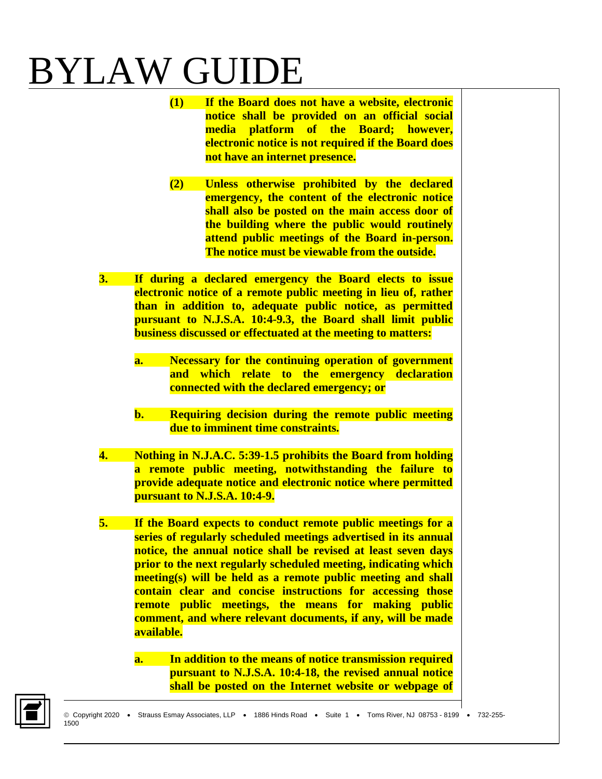- **(1) If the Board does not have a website, electronic notice shall be provided on an official social media platform of the Board; however, electronic notice is not required if the Board does not have an internet presence.**
- **(2) Unless otherwise prohibited by the declared emergency, the content of the electronic notice shall also be posted on the main access door of the building where the public would routinely attend public meetings of the Board in-person. The notice must be viewable from the outside.**
- **3. If during a declared emergency the Board elects to issue electronic notice of a remote public meeting in lieu of, rather than in addition to, adequate public notice, as permitted pursuant to N.J.S.A. 10:4-9.3, the Board shall limit public business discussed or effectuated at the meeting to matters:**
	- **a. Necessary for the continuing operation of government and which relate to the emergency declaration connected with the declared emergency; or**
	- **b. Requiring decision during the remote public meeting due to imminent time constraints.**
- **4. Nothing in N.J.A.C. 5:39-1.5 prohibits the Board from holding a remote public meeting, notwithstanding the failure to provide adequate notice and electronic notice where permitted pursuant to N.J.S.A. 10:4-9.**
- **5. If the Board expects to conduct remote public meetings for a series of regularly scheduled meetings advertised in its annual notice, the annual notice shall be revised at least seven days prior to the next regularly scheduled meeting, indicating which meeting(s) will be held as a remote public meeting and shall contain clear and concise instructions for accessing those remote public meetings, the means for making public comment, and where relevant documents, if any, will be made available.** 
	- **a. In addition to the means of notice transmission required pursuant to N.J.S.A. 10:4-18, the revised annual notice shall be posted on the Internet website or webpage of**

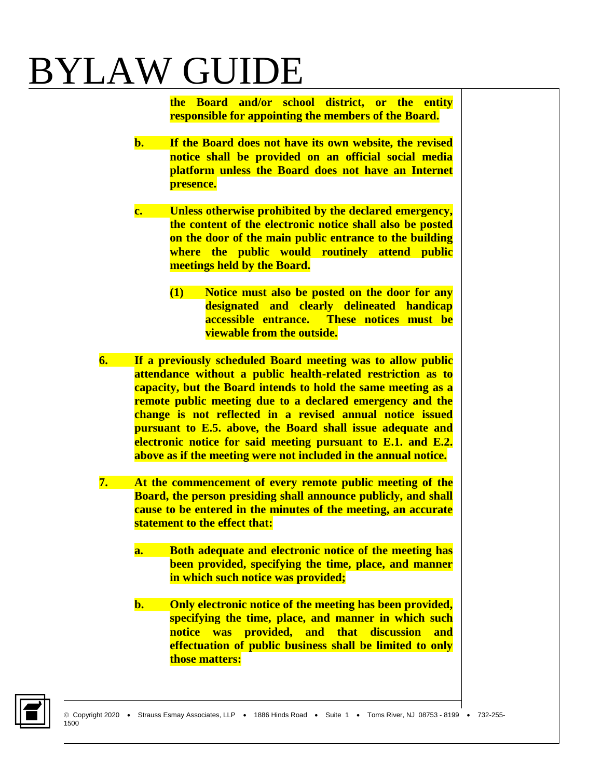**the Board and/or school district, or the entity responsible for appointing the members of the Board.** 

- **b. If the Board does not have its own website, the revised notice shall be provided on an official social media platform unless the Board does not have an Internet presence.**
- **c. Unless otherwise prohibited by the declared emergency, the content of the electronic notice shall also be posted on the door of the main public entrance to the building where the public would routinely attend public meetings held by the Board.** 
	- **(1) Notice must also be posted on the door for any designated and clearly delineated handicap accessible entrance. These notices must be viewable from the outside.**
- **6. If a previously scheduled Board meeting was to allow public attendance without a public health-related restriction as to capacity, but the Board intends to hold the same meeting as a remote public meeting due to a declared emergency and the change is not reflected in a revised annual notice issued pursuant to E.5. above, the Board shall issue adequate and electronic notice for said meeting pursuant to E.1. and E.2. above as if the meeting were not included in the annual notice.**
- **7. At the commencement of every remote public meeting of the Board, the person presiding shall announce publicly, and shall cause to be entered in the minutes of the meeting, an accurate statement to the effect that:** 
	- **a. Both adequate and electronic notice of the meeting has been provided, specifying the time, place, and manner in which such notice was provided;**
	- **b. Only electronic notice of the meeting has been provided, specifying the time, place, and manner in which such notice was provided, and that discussion and effectuation of public business shall be limited to only those matters:**

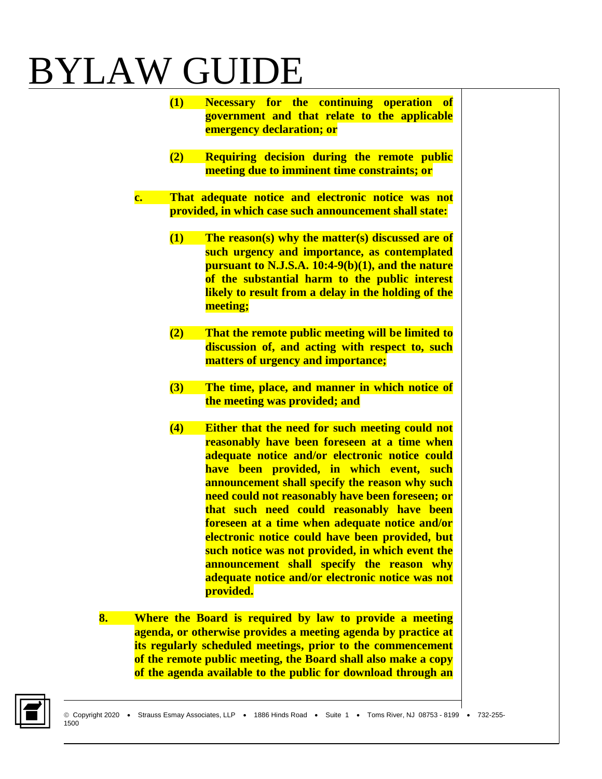- **(1) Necessary for the continuing operation of government and that relate to the applicable emergency declaration; or**
- **(2) Requiring decision during the remote public meeting due to imminent time constraints; or**
- **c. That adequate notice and electronic notice was not provided, in which case such announcement shall state:** 
	- **(1) The reason(s) why the matter(s) discussed are of such urgency and importance, as contemplated pursuant to N.J.S.A. 10:4-9(b)(1), and the nature of the substantial harm to the public interest likely to result from a delay in the holding of the meeting;**
	- **(2) That the remote public meeting will be limited to discussion of, and acting with respect to, such matters of urgency and importance;**
	- **(3) The time, place, and manner in which notice of the meeting was provided; and**
	- **(4) Either that the need for such meeting could not reasonably have been foreseen at a time when adequate notice and/or electronic notice could have been provided, in which event, such announcement shall specify the reason why such need could not reasonably have been foreseen; or that such need could reasonably have been foreseen at a time when adequate notice and/or electronic notice could have been provided, but such notice was not provided, in which event the announcement shall specify the reason why adequate notice and/or electronic notice was not provided.**
- **8. Where the Board is required by law to provide a meeting agenda, or otherwise provides a meeting agenda by practice at its regularly scheduled meetings, prior to the commencement of the remote public meeting, the Board shall also make a copy of the agenda available to the public for download through an**